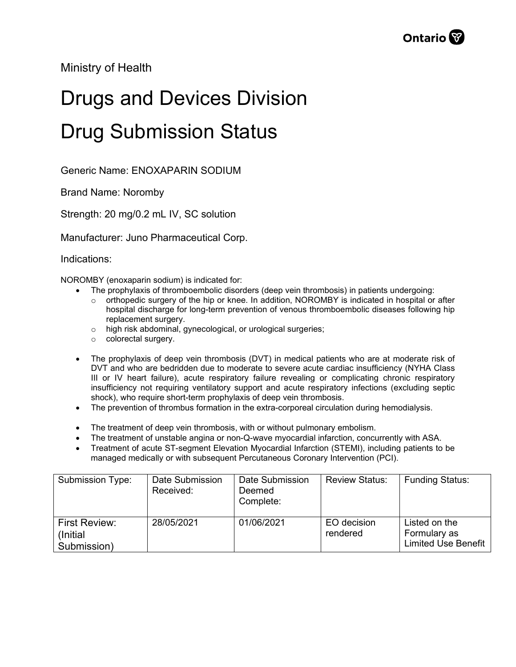Ministry of Health

## Drugs and Devices Division Drug Submission Status

Generic Name: ENOXAPARIN SODIUM

Brand Name: Noromby

Strength: 20 mg/0.2 mL IV, SC solution

Manufacturer: Juno Pharmaceutical Corp.

Indications:

NOROMBY (enoxaparin sodium) is indicated for:

- The prophylaxis of thromboembolic disorders (deep vein thrombosis) in patients undergoing:
	- $\circ$  orthopedic surgery of the hip or knee. In addition, NOROMBY is indicated in hospital or after hospital discharge for long-term prevention of venous thromboembolic diseases following hip replacement surgery.
	- o high risk abdominal, gynecological, or urological surgeries;
	- o colorectal surgery.
- The prophylaxis of deep vein thrombosis (DVT) in medical patients who are at moderate risk of DVT and who are bedridden due to moderate to severe acute cardiac insufficiency (NYHA Class III or IV heart failure), acute respiratory failure revealing or complicating chronic respiratory insufficiency not requiring ventilatory support and acute respiratory infections (excluding septic shock), who require short-term prophylaxis of deep vein thrombosis.
- The prevention of thrombus formation in the extra-corporeal circulation during hemodialysis.
- The treatment of deep vein thrombosis, with or without pulmonary embolism.
- The treatment of unstable angina or non-Q-wave myocardial infarction, concurrently with ASA.
- Treatment of acute ST-segment Elevation Myocardial Infarction (STEMI), including patients to be managed medically or with subsequent Percutaneous Coronary Intervention (PCI).

| Submission Type:                          | Date Submission<br>Received: | Date Submission<br>Deemed<br>Complete: | <b>Review Status:</b>   | <b>Funding Status:</b>                                      |
|-------------------------------------------|------------------------------|----------------------------------------|-------------------------|-------------------------------------------------------------|
| First Review:<br>(Initial)<br>Submission) | 28/05/2021                   | 01/06/2021                             | EO decision<br>rendered | Listed on the<br>Formulary as<br><b>Limited Use Benefit</b> |